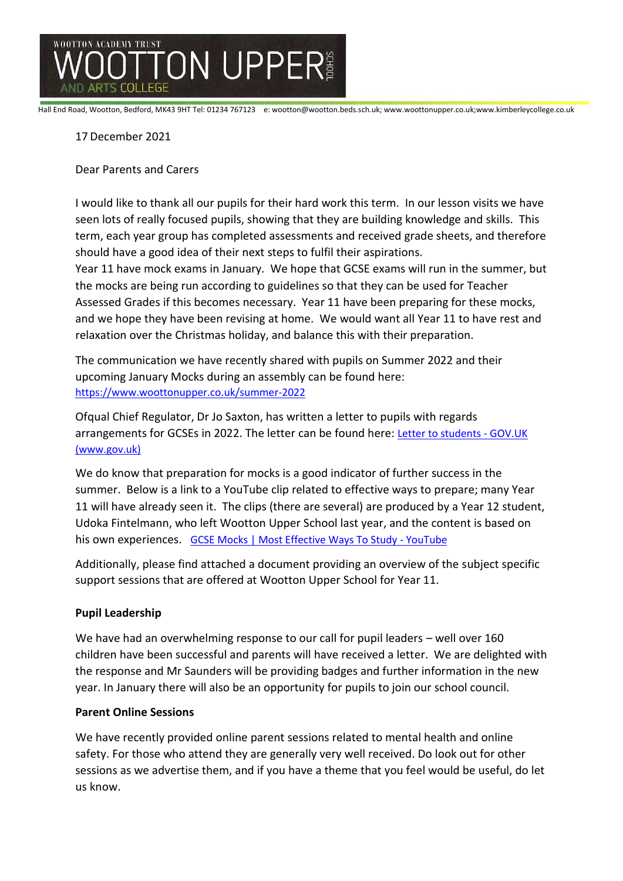

Hall End Road, Wootton, Bedford, MK43 9HT Tel: 01234 767123 e: wootton@wootton.beds.sch.uk; www.woottonupper.co.uk;www.kimberleycollege.co.uk

# 17December 2021

Dear Parents and Carers

I would like to thank all our pupils for their hard work this term. In our lesson visits we have seen lots of really focused pupils, showing that they are building knowledge and skills. This term, each year group has completed assessments and received grade sheets, and therefore should have a good idea of their next steps to fulfil their aspirations.

Year 11 have mock exams in January. We hope that GCSE exams will run in the summer, but the mocks are being run according to guidelines so that they can be used for Teacher Assessed Grades if this becomes necessary. Year 11 have been preparing for these mocks, and we hope they have been revising at home. We would want all Year 11 to have rest and relaxation over the Christmas holiday, and balance this with their preparation.

The communication we have recently shared with pupils on Summer 2022 and their upcoming January Mocks during an assembly can be found here: <https://www.woottonupper.co.uk/summer-2022>

Ofqual Chief Regulator, Dr Jo Saxton, has written a letter to pupils with regards arrangements for GCSEs in 2022. The letter can be found here: [Letter to students -](https://www.gov.uk/government/publications/open-letters-arrangements-for-gcses-as-and-a-levels-in-2022/letter-to-students) GOV.UK [\(www.gov.uk\)](https://www.gov.uk/government/publications/open-letters-arrangements-for-gcses-as-and-a-levels-in-2022/letter-to-students)

We do know that preparation for mocks is a good indicator of further success in the summer. Below is a link to a YouTube clip related to effective ways to prepare; many Year 11 will have already seen it. The clips (there are several) are produced by a Year 12 student, Udoka Fintelmann, who left Wootton Upper School last year, and the content is based on his own experiences. [GCSE Mocks | Most Effective Ways To Study -](https://www.youtube.com/watch?v=VXF-6hmU_k4) YouTube

Additionally, please find attached a document providing an overview of the subject specific support sessions that are offered at Wootton Upper School for Year 11.

## **Pupil Leadership**

We have had an overwhelming response to our call for pupil leaders – well over 160 children have been successful and parents will have received a letter. We are delighted with the response and Mr Saunders will be providing badges and further information in the new year. In January there will also be an opportunity for pupils to join our school council.

## **Parent Online Sessions**

We have recently provided online parent sessions related to mental health and online safety. For those who attend they are generally very well received. Do look out for other sessions as we advertise them, and if you have a theme that you feel would be useful, do let us know.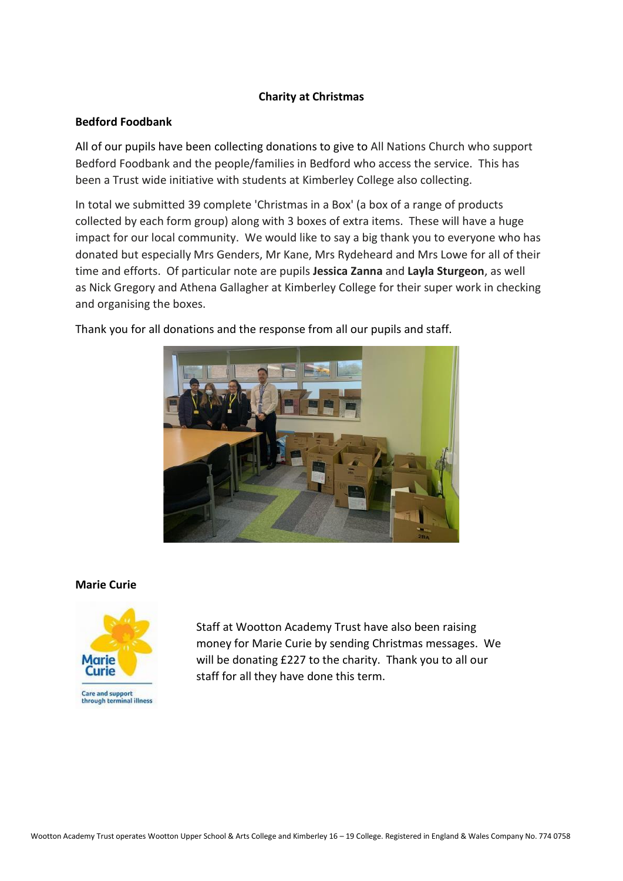## **Charity at Christmas**

# **Bedford Foodbank**

All of our pupils have been collecting donations to give to All Nations Church who support Bedford Foodbank and the people/families in Bedford who access the service. This has been a Trust wide initiative with students at Kimberley College also collecting.

In total we submitted 39 complete 'Christmas in a Box' (a box of a range of products collected by each form group) along with 3 boxes of extra items. These will have a huge impact for our local community. We would like to say a big thank you to everyone who has donated but especially Mrs Genders, Mr Kane, Mrs Rydeheard and Mrs Lowe for all of their time and efforts. Of particular note are pupils **Jessica Zanna** and **Layla Sturgeon**, as well as Nick Gregory and Athena Gallagher at Kimberley College for their super work in checking and organising the boxes.



Thank you for all donations and the response from all our pupils and staff.

## **Marie Curie**



Staff at Wootton Academy Trust have also been raising money for Marie Curie by sending Christmas messages. We will be donating £227 to the charity. Thank you to all our staff for all they have done this term.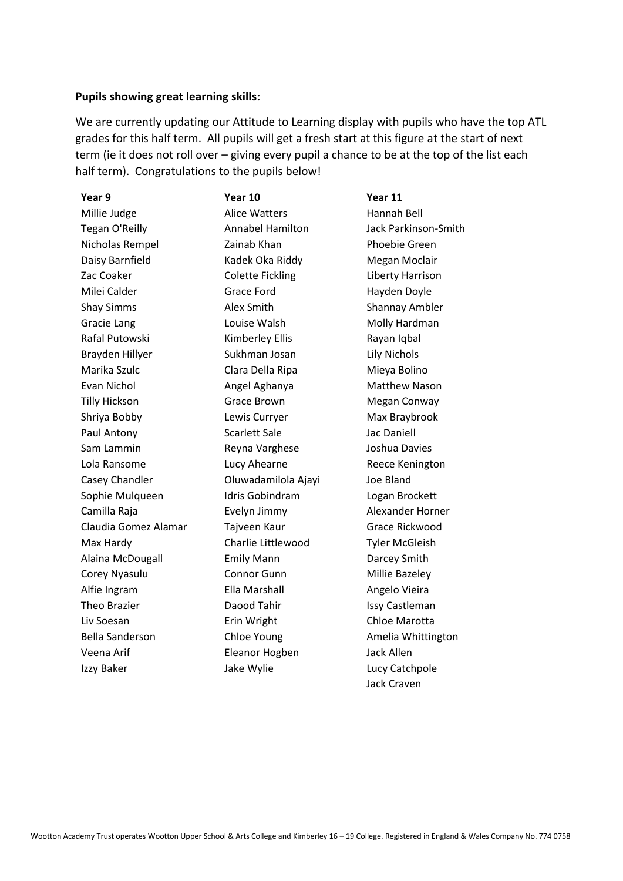### **Pupils showing great learning skills:**

We are currently updating our Attitude to Learning display with pupils who have the top ATL grades for this half term. All pupils will get a fresh start at this figure at the start of next term (ie it does not roll over – giving every pupil a chance to be at the top of the list each half term). Congratulations to the pupils below!

| Year 9                 | Year 10                 | Year 11                     |
|------------------------|-------------------------|-----------------------------|
| Millie Judge           | <b>Alice Watters</b>    | Hannah Bell                 |
| Tegan O'Reilly         | <b>Annabel Hamilton</b> | <b>Jack Parkinson-Smith</b> |
| Nicholas Rempel        | Zainab Khan             | Phoebie Green               |
| Daisy Barnfield        | Kadek Oka Riddy         | Megan Moclair               |
| Zac Coaker             | <b>Colette Fickling</b> | Liberty Harrison            |
| Milei Calder           | <b>Grace Ford</b>       | Hayden Doyle                |
| <b>Shay Simms</b>      | Alex Smith              | <b>Shannay Ambler</b>       |
| Gracie Lang            | Louise Walsh            | Molly Hardman               |
| Rafal Putowski         | Kimberley Ellis         | Rayan Iqbal                 |
| Brayden Hillyer        | Sukhman Josan           | Lily Nichols                |
| Marika Szulc           | Clara Della Ripa        | Mieya Bolino                |
| Evan Nichol            | Angel Aghanya           | Matthew Nason               |
| <b>Tilly Hickson</b>   | <b>Grace Brown</b>      | Megan Conway                |
| Shriya Bobby           | Lewis Curryer           | Max Braybrook               |
| Paul Antony            | Scarlett Sale           | <b>Jac Daniell</b>          |
| Sam Lammin             | Reyna Varghese          | Joshua Davies               |
| Lola Ransome           | Lucy Ahearne            | Reece Kenington             |
| Casey Chandler         | Oluwadamilola Ajayi     | Joe Bland                   |
| Sophie Mulqueen        | <b>Idris Gobindram</b>  | Logan Brockett              |
| Camilla Raja           | Evelyn Jimmy            | Alexander Horner            |
| Claudia Gomez Alamar   | Tajveen Kaur            | Grace Rickwood              |
| Max Hardy              | Charlie Littlewood      | <b>Tyler McGleish</b>       |
| Alaina McDougall       | <b>Emily Mann</b>       | Darcey Smith                |
| Corey Nyasulu          | Connor Gunn             | Millie Bazeley              |
| Alfie Ingram           | Ella Marshall           | Angelo Vieira               |
| Theo Brazier           | Daood Tahir             | Issy Castleman              |
| Liv Soesan             | Erin Wright             | Chloe Marotta               |
| <b>Bella Sanderson</b> | Chloe Young             | Amelia Whittington          |
| Veena Arif             | Eleanor Hogben          | Jack Allen                  |
| Izzy Baker             | Jake Wylie              | Lucy Catchpole              |
|                        |                         | <b>Jack Craven</b>          |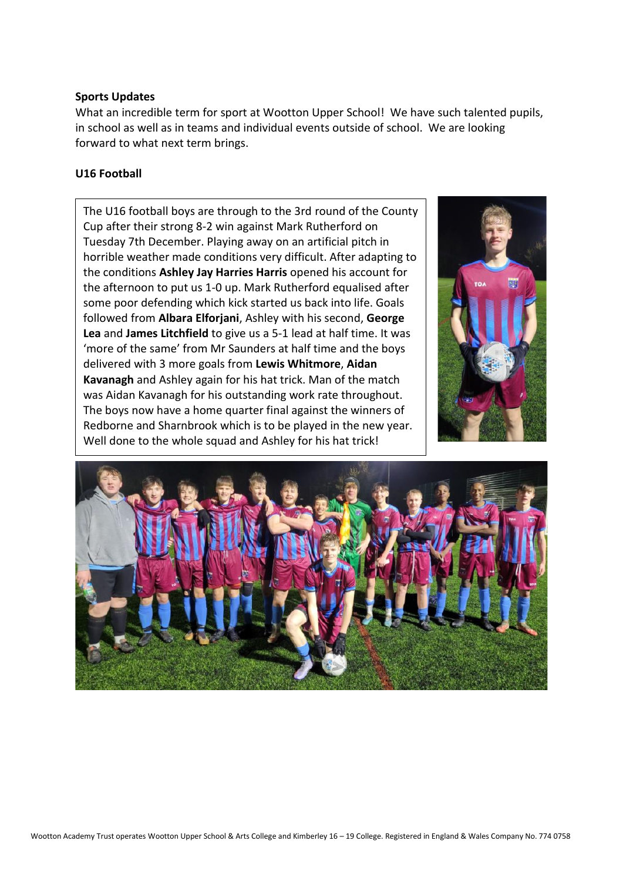### **Sports Updates**

What an incredible term for sport at Wootton Upper School! We have such talented pupils, in school as well as in teams and individual events outside of school. We are looking forward to what next term brings.

### **U16 Football**

The U16 football boys are through to the 3rd round of the County Cup after their strong 8-2 win against Mark Rutherford on Tuesday 7th December. Playing away on an artificial pitch in horrible weather made conditions very difficult. After adapting to the conditions **Ashley Jay Harries Harris** opened his account for the afternoon to put us 1-0 up. Mark Rutherford equalised after some poor defending which kick started us back into life. Goals followed from **Albara Elforjani**, Ashley with his second, **George Lea** and **James Litchfield** to give us a 5-1 lead at half time. It was 'more of the same' from Mr Saunders at half time and the boys delivered with 3 more goals from **Lewis Whitmore**, **Aidan Kavanagh** and Ashley again for his hat trick. Man of the match was Aidan Kavanagh for his outstanding work rate throughout. The boys now have a home quarter final against the winners of Redborne and Sharnbrook which is to be played in the new year. Well done to the whole squad and Ashley for his hat trick!



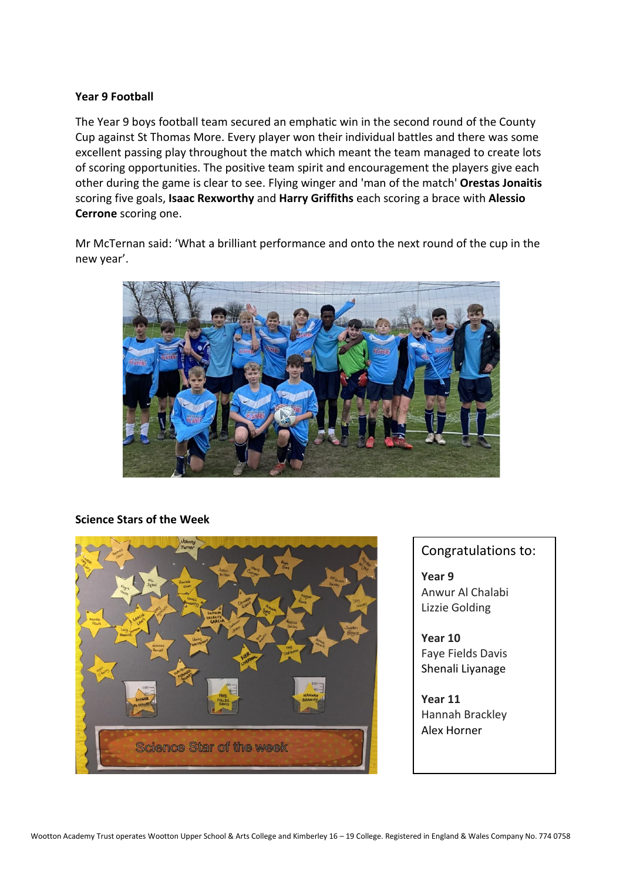### **Year 9 Football**

The Year 9 boys football team secured an emphatic win in the second round of the County Cup against St Thomas More. Every player won their individual battles and there was some excellent passing play throughout the match which meant the team managed to create lots of scoring opportunities. The positive team spirit and encouragement the players give each other during the game is clear to see. Flying winger and 'man of the match' **Orestas Jonaitis** scoring five goals, **Isaac Rexworthy** and **Harry Griffiths** each scoring a brace with **Alessio Cerrone** scoring one.

Mr McTernan said: 'What a brilliant performance and onto the next round of the cup in the new year'.



#### **Science Stars of the Week**



## Congratulations to:

**Year 9**  Anwur Al Chalabi Lizzie Golding

**Year 10**  Faye Fields Davis Shenali Liyanage

**Year 11**  Hannah Brackley Alex Horner